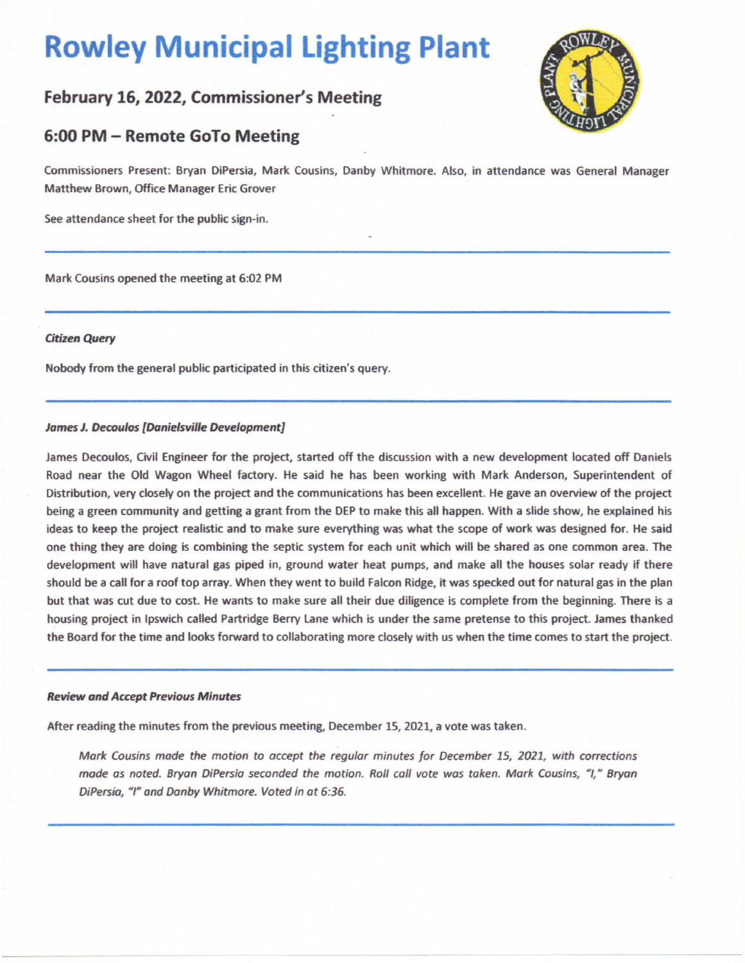# **Rowley Municipal Lighting Plant**

# **February 16, 2022, Commissioner's Meeting**



# **6:00 PM - Remote GoTo Meeting**

Commissioners Present: Bryan DiPersia, Mark Cousins, Danby Whitmore. Also, in attendance was General Manager Matthew Brown, Office Manager Eric Grover

See attendance sheet for the public sign-in.

Mark Cousins opened the meeting at 6:02 PM

## **Citizen Query**

Nobody from the general public participated in this citizen's query.

## **James J. Decoulos [Danielsville Development]**

James Oecoulos, Civil Engineer for the project, started off the discussion with a new development located off Daniels Road near the Old Wagon Wheel factory. He said he has been working with Mark Anderson, Superintendent of Distribution, very closely on the project and the communications has been excellent. He gave an overview of the project being a green community and getting a grant from the DEP to make this all happen. With a slide show, he explained his ideas to keep the project realistic and to make sure everything was what the scope of work was designed for. He said one thing they are-doing is combining the septic system for each unit which will be shared as one common area. The development will have natural gas piped in, ground water heat pumps, and make all the houses solar ready if there should be a call for a roof top array. When they went to build Falcon Ridge, it was specked out for natural gas in the plan but that was cut due to cost. He wants to make sure all their due diligence is complete from the beginning. There is a housing project in Ipswich called Partridge Berry Lane which is under the same pretense to this project. James thanked the Board for the time and looks forward to collaborating more closely with us when the time comes to start the project.

#### **Review and Accept Previous Minutes**

After reading the minutes from the previous meeting, December 15, 2021, a vote was taken.

Mark Cousins made the motion to accept the regular minutes for December 15, 2021, with corrections made as noted. Bryan DiPersia seconded the motion. Roll call vote was taken. Mark Cousins, "I," Bryan DiPersia, "I" and Danby Whitmore. Voted in at 6:36.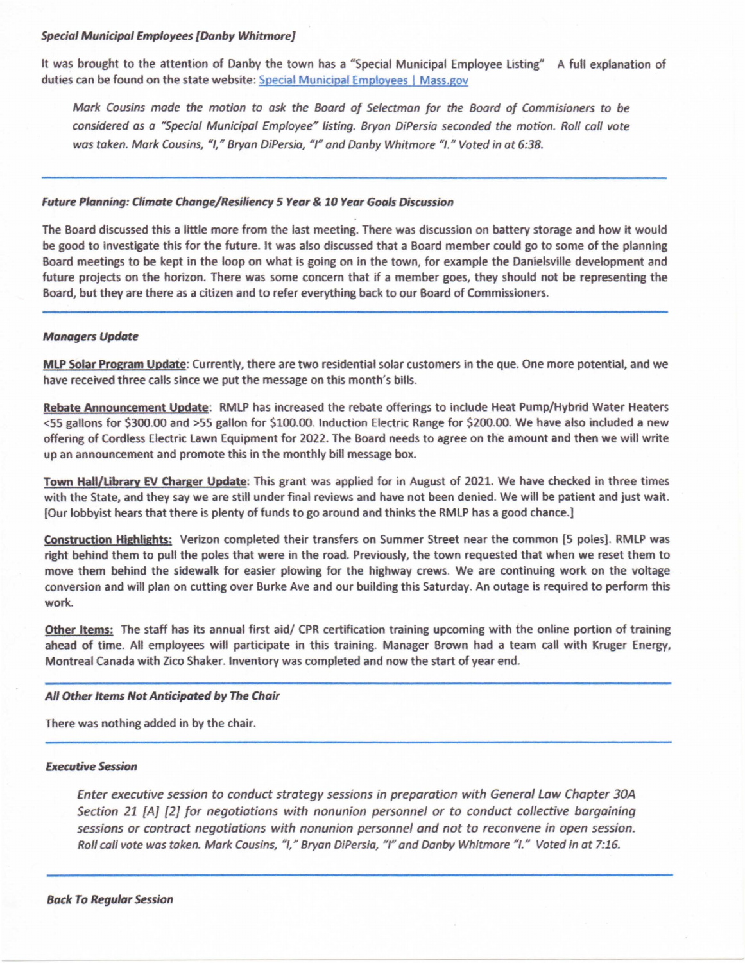#### **Special Municipal Employees [Danby Whitmore]**

It was brought to the attention of Danby the town has a "Special Municipal Employee Listing" A full explanation of duties can be found on the state website: Special Municipal Employees I [Mass.gov](https://Mass.gov)

**Mark** Cousins mode the motion to ask the Boord of Selectman for the Board of Commisioners to be considered as a "Special Municipal Employee" listing. Bryan DiPersia seconded the motion. Roll call vote was taken. Mark Cousins, "I." Bryan DiPersia, "I" and Danby Whitmore "I." Voted in at 6:38.

#### **Future Planning: Qimate Change/Resiliency S Year** *&* **10 Year Goals Discussion**

The Board discussed this a little more from the last meeting. There was discussion on battery storage and how it would be good to investigate this for the future. It was also discussed that a Board member could go to some of the planning Board meetings to be kept in the loop on what is going on in the town, for example the Danielsville development and future projects on the horizon. There was some concern that if a member goes, they should not be representing the Board, but they are there as a citizen and to refer everything back to our Board of Commissioners.

#### **Managers Update**

**MLP Solar Program Update:** Currently, there are two residential solar customers in the que. One more potential, and we have received three calls since we put the message on this month's bills.

**Rebate Announcement Update:** RMLP has increased the rebate offerings to include Heat Pump/Hybrid Water Heaters <55 gallons for \$300.00 and >55 gallon for \$100.00. Induction Electric Range for \$200.00. We have also included a new offering of Cordless Electric Lawn Equipment for 2022. The Board needs to agree on the amount and then we will write up an announcement and promote this in the monthly bill message box.

**Town Hall/library EV Charger Update:** This grant was applied for in August of 2021. We have checked in three times with the State, and they say we are still under final reviews and have not been denied. We will be patient and just wait. [Our lobbyist hears that there is plenty of funds to go around and thinks the RMLP has a good chance.]

**Construction Highlights:** Verizon completed their transfers on Summer Street near the common [5 poles]. RMLP was right behind them to pull the poles that were in the road. Previously, the town requested that when we reset them to move them behind the sidewalk for easier plowing for the highway crews. We are continuing work on the voltage conversion and will plan on cutting over Burke Ave and our building this Saturday. An outage is required to perform this work.

**Other Items:** The staff has its annual first aid/ CPR certification training upcoming with the online portion of training ahead of time. All employees will participate in this training. Manager Brown had a team call with Kruger Energy, Montreal Canada with Zico Shaker. Inventory was completed and now the start of year end.

#### **All Other Items Not Anticipated by The Chair**

There was nothing added in by the chair.

#### **Executive Session**

Enter executive session to conduct strategy sessions in preparation with General Law Chapter 30A Section 21 [A] [2] for negotiations with nonunion personnel or to conduct collective bargaining sessions or contract negotiations with nonunion personnel and not to reconvene in open session. Roll call vote was taken. Mark Cousins, "I," Bryan DiPersia, "I" and Danby Whitmore "I." Voted in at 7:16.